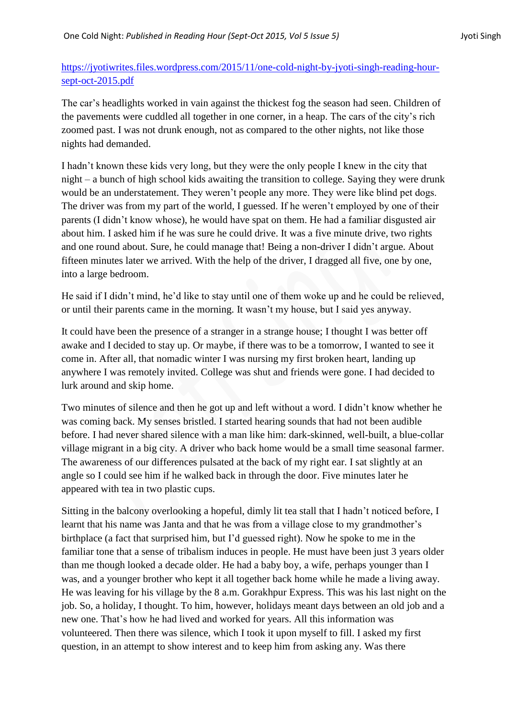## [https://jyotiwrites.files.wordpress.com/2015/11/one-cold-night-by-jyoti-singh-reading-hour](https://jyotiwrites.files.wordpress.com/2015/11/one-cold-night-by-jyoti-singh-reading-hour-sept-oct-2015.pdf)[sept-oct-2015.pdf](https://jyotiwrites.files.wordpress.com/2015/11/one-cold-night-by-jyoti-singh-reading-hour-sept-oct-2015.pdf)

The car's headlights worked in vain against the thickest fog the season had seen. Children of the pavements were cuddled all together in one corner, in a heap. The cars of the city's rich zoomed past. I was not drunk enough, not as compared to the other nights, not like those nights had demanded.

I hadn't known these kids very long, but they were the only people I knew in the city that night – a bunch of high school kids awaiting the transition to college. Saying they were drunk would be an understatement. They weren't people any more. They were like blind pet dogs. The driver was from my part of the world, I guessed. If he weren't employed by one of their parents (I didn't know whose), he would have spat on them. He had a familiar disgusted air about him. I asked him if he was sure he could drive. It was a five minute drive, two rights and one round about. Sure, he could manage that! Being a non-driver I didn't argue. About fifteen minutes later we arrived. With the help of the driver, I dragged all five, one by one, into a large bedroom.

He said if I didn't mind, he'd like to stay until one of them woke up and he could be relieved, or until their parents came in the morning. It wasn't my house, but I said yes anyway.

It could have been the presence of a stranger in a strange house; I thought I was better off awake and I decided to stay up. Or maybe, if there was to be a tomorrow, I wanted to see it come in. After all, that nomadic winter I was nursing my first broken heart, landing up anywhere I was remotely invited. College was shut and friends were gone. I had decided to lurk around and skip home.

Two minutes of silence and then he got up and left without a word. I didn't know whether he was coming back. My senses bristled. I started hearing sounds that had not been audible before. I had never shared silence with a man like him: dark-skinned, well-built, a blue-collar village migrant in a big city. A driver who back home would be a small time seasonal farmer. The awareness of our differences pulsated at the back of my right ear. I sat slightly at an angle so I could see him if he walked back in through the door. Five minutes later he appeared with tea in two plastic cups.

Sitting in the balcony overlooking a hopeful, dimly lit tea stall that I hadn't noticed before, I learnt that his name was Janta and that he was from a village close to my grandmother's birthplace (a fact that surprised him, but I'd guessed right). Now he spoke to me in the familiar tone that a sense of tribalism induces in people. He must have been just 3 years older than me though looked a decade older. He had a baby boy, a wife, perhaps younger than I was, and a younger brother who kept it all together back home while he made a living away. He was leaving for his village by the 8 a.m. Gorakhpur Express. This was his last night on the job. So, a holiday, I thought. To him, however, holidays meant days between an old job and a new one. That's how he had lived and worked for years. All this information was volunteered. Then there was silence, which I took it upon myself to fill. I asked my first question, in an attempt to show interest and to keep him from asking any. Was there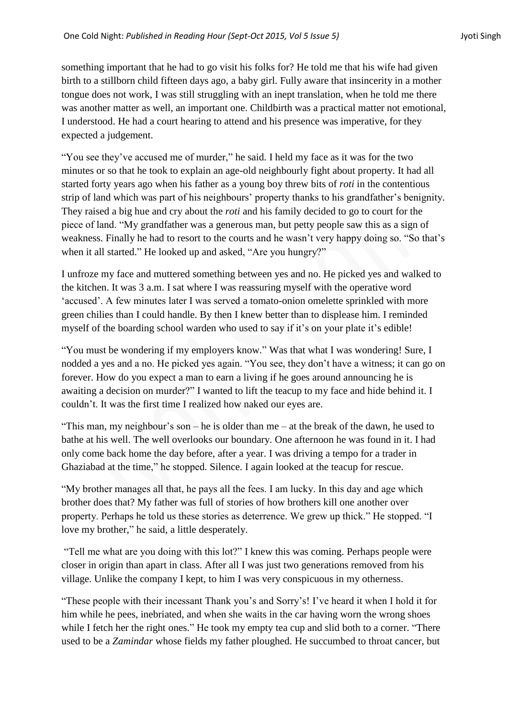something important that he had to go visit his folks for? He told me that his wife had given birth to a stillborn child fifteen days ago, a baby girl. Fully aware that insincerity in a mother tongue does not work, I was still struggling with an inept translation, when he told me there was another matter as well, an important one. Childbirth was a practical matter not emotional, I understood. He had a court hearing to attend and his presence was imperative, for they expected a judgement.

"You see they've accused me of murder," he said. I held my face as it was for the two minutes or so that he took to explain an age-old neighbourly fight about property. It had all started forty years ago when his father as a young boy threw bits of *roti* in the contentious strip of land which was part of his neighbours' property thanks to his grandfather's benignity. They raised a big hue and cry about the *roti* and his family decided to go to court for the piece of land. "My grandfather was a generous man, but petty people saw this as a sign of weakness. Finally he had to resort to the courts and he wasn't very happy doing so. "So that's when it all started." He looked up and asked, "Are you hungry?"

I unfroze my face and muttered something between yes and no. He picked yes and walked to the kitchen. It was 3 a.m. I sat where I was reassuring myself with the operative word ‗accused'. A few minutes later I was served a tomato-onion omelette sprinkled with more green chilies than I could handle. By then I knew better than to displease him. I reminded myself of the boarding school warden who used to say if it's on your plate it's edible!

"You must be wondering if my employers know." Was that what I was wondering! Sure, I nodded a yes and a no. He picked yes again. "You see, they don't have a witness; it can go on forever. How do you expect a man to earn a living if he goes around announcing he is awaiting a decision on murder?" I wanted to lift the teacup to my face and hide behind it. I couldn't. It was the first time I realized how naked our eyes are.

"This man, my neighbour's son – he is older than me – at the break of the dawn, he used to bathe at his well. The well overlooks our boundary. One afternoon he was found in it. I had only come back home the day before, after a year. I was driving a tempo for a trader in Ghaziabad at the time," he stopped. Silence. I again looked at the teacup for rescue.

―My brother manages all that, he pays all the fees. I am lucky. In this day and age which brother does that? My father was full of stories of how brothers kill one another over property. Perhaps he told us these stories as deterrence. We grew up thick." He stopped. "I love my brother," he said, a little desperately.

"Tell me what are you doing with this lot?" I knew this was coming. Perhaps people were closer in origin than apart in class. After all I was just two generations removed from his village. Unlike the company I kept, to him I was very conspicuous in my otherness.

―These people with their incessant Thank you's and Sorry's! I've heard it when I hold it for him while he pees, inebriated, and when she waits in the car having worn the wrong shoes while I fetch her the right ones." He took my empty tea cup and slid both to a corner. "There used to be a *Zamindar* whose fields my father ploughed. He succumbed to throat cancer, but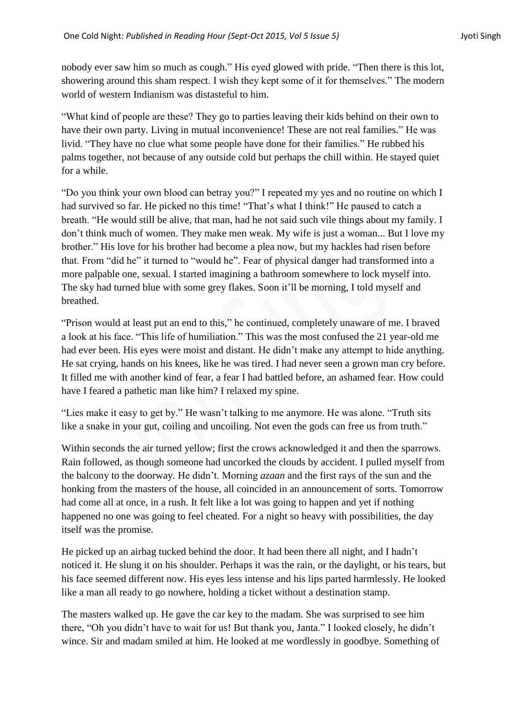nobody ever saw him so much as cough." His eyed glowed with pride. "Then there is this lot, showering around this sham respect. I wish they kept some of it for themselves." The modern world of western Indianism was distasteful to him.

―What kind of people are these? They go to parties leaving their kids behind on their own to have their own party. Living in mutual inconvenience! These are not real families." He was livid. "They have no clue what some people have done for their families." He rubbed his palms together, not because of any outside cold but perhaps the chill within. He stayed quiet for a while.

"Do you think your own blood can betray you?" I repeated my yes and no routine on which I had survived so far. He picked no this time! "That's what I think!" He paused to catch a breath. "He would still be alive, that man, had he not said such vile things about my family. I don't think much of women. They make men weak. My wife is just a woman... But I love my brother." His love for his brother had become a plea now, but my hackles had risen before that. From "did he" it turned to "would he". Fear of physical danger had transformed into a more palpable one, sexual. I started imagining a bathroom somewhere to lock myself into. The sky had turned blue with some grey flakes. Soon it'll be morning, I told myself and breathed.

"Prison would at least put an end to this," he continued, completely unaware of me. I braved a look at his face. "This life of humiliation." This was the most confused the 21 year-old me had ever been. His eyes were moist and distant. He didn't make any attempt to hide anything. He sat crying, hands on his knees, like he was tired. I had never seen a grown man cry before. It filled me with another kind of fear, a fear I had battled before, an ashamed fear. How could have I feared a pathetic man like him? I relaxed my spine.

"Lies make it easy to get by." He wasn't talking to me anymore. He was alone. "Truth sits like a snake in your gut, coiling and uncoiling. Not even the gods can free us from truth."

Within seconds the air turned yellow; first the crows acknowledged it and then the sparrows. Rain followed, as though someone had uncorked the clouds by accident. I pulled myself from the balcony to the doorway. He didn't. Morning *azaan* and the first rays of the sun and the honking from the masters of the house, all coincided in an announcement of sorts. Tomorrow had come all at once, in a rush. It felt like a lot was going to happen and yet if nothing happened no one was going to feel cheated. For a night so heavy with possibilities, the day itself was the promise.

He picked up an airbag tucked behind the door. It had been there all night, and I hadn't noticed it. He slung it on his shoulder. Perhaps it was the rain, or the daylight, or his tears, but his face seemed different now. His eyes less intense and his lips parted harmlessly. He looked like a man all ready to go nowhere, holding a ticket without a destination stamp.

The masters walked up. He gave the car key to the madam. She was surprised to see him there, "Oh you didn't have to wait for us! But thank you, Janta." I looked closely, he didn't wince. Sir and madam smiled at him. He looked at me wordlessly in goodbye. Something of